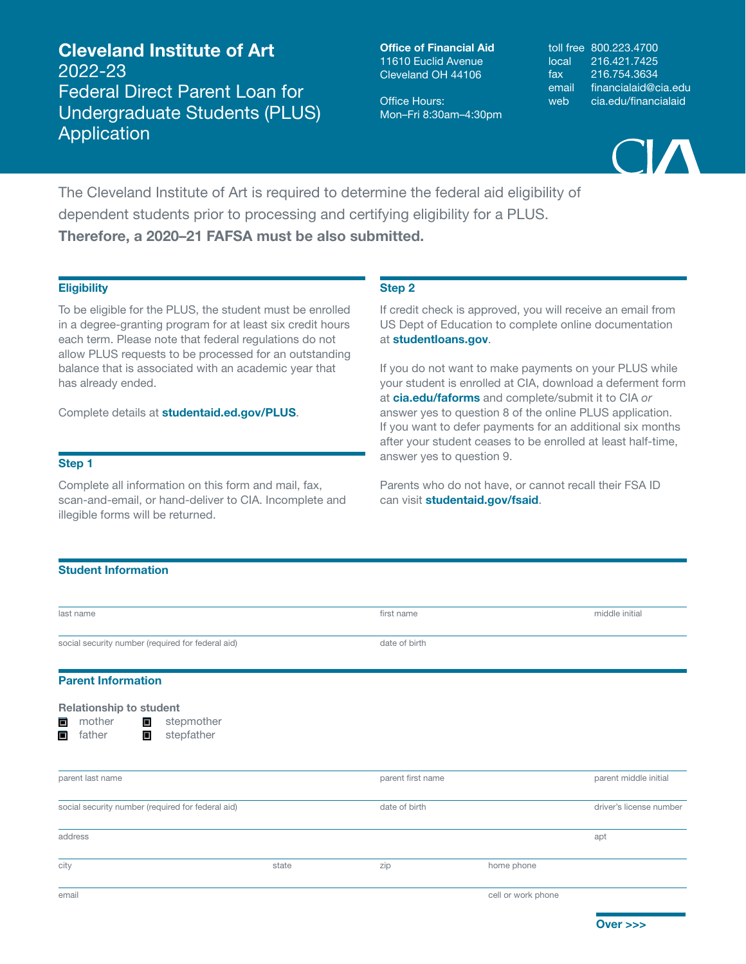Cleveland Institute of Art 2022-23 Federal Direct Parent Loan for Undergraduate Students (PLUS) Application

Office of Financial Aid 11610 Euclid Avenue Cleveland OH 44106

Office Hours: Mon–Fri 8:30am–4:30pm toll free 800.223.4700 local 216.421.7425 fax 216.754.3634 email financialaid@cia.edu web cia.edu/financialaid



The Cleveland Institute of Art is required to determine the federal aid eligibility of dependent students prior to processing and certifying eligibility for a PLUS. Therefore, a 2020–21 FAFSA must be also submitted.

## **Eligibility**

To be eligible for the PLUS, the student must be enrolled in a degree-granting program for at least six credit hours each term. Please note that federal regulations do not allow PLUS requests to be processed for an outstanding balance that is associated with an academic year that has already ended.

Complete details at studentaid.ed.gov/PLUS.

### Step 1

Complete all information on this form and mail, fax, scan-and-email, or hand-deliver to CIA. Incomplete and illegible forms will be returned.

### Step 2

If credit check is approved, you will receive an email from US Dept of Education to complete online documentation at studentloans.gov.

If you do not want to make payments on your PLUS while your student is enrolled at CIA, download a deferment form at cia.edu/faforms and complete/submit it to CIA *or* answer yes to question 8 of the online PLUS application. If you want to defer payments for an additional six months after your student ceases to be enrolled at least half-time, answer yes to question 9.

Parents who do not have, or cannot recall their FSA ID can visit studentaid.gov/fsaid.

# Student Information

| last name                                                |       | first name        |                    | middle initial          |
|----------------------------------------------------------|-------|-------------------|--------------------|-------------------------|
| social security number (required for federal aid)        |       | date of birth     |                    |                         |
| <b>Parent Information</b>                                |       |                   |                    |                         |
| <b>Relationship to student</b>                           |       |                   |                    |                         |
| mother<br>$\blacksquare$<br>stepmother<br>$\blacksquare$ |       |                   |                    |                         |
| stepfather<br>father<br>$\Box$<br>$\blacksquare$         |       |                   |                    |                         |
| parent last name                                         |       | parent first name |                    | parent middle initial   |
| social security number (required for federal aid)        |       | date of birth     |                    | driver's license number |
| address                                                  |       |                   |                    | apt                     |
| city                                                     | state | zip               | home phone         |                         |
| email                                                    |       |                   | cell or work phone |                         |